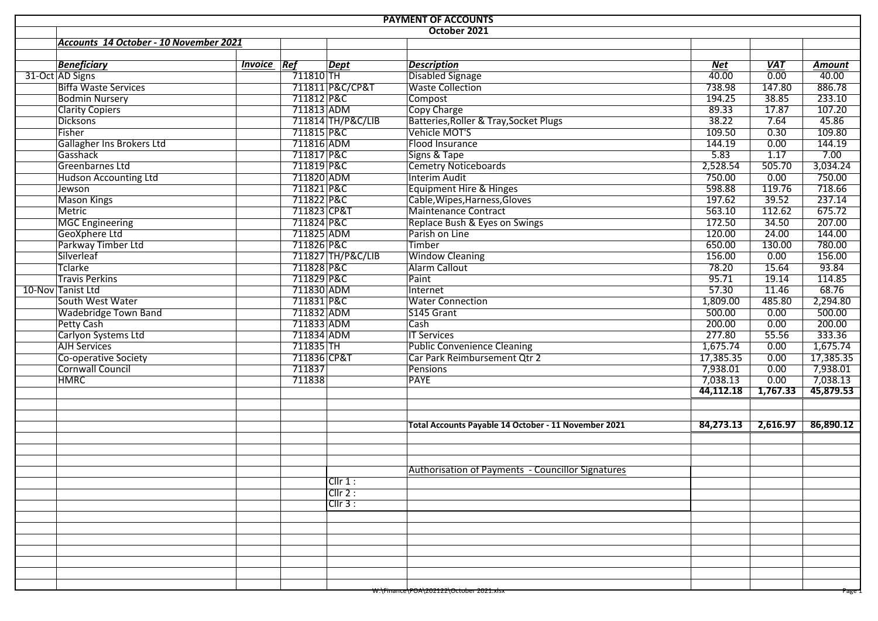| <b>PAYMENT OF ACCOUNTS</b>             |                    |                        |                   |                                                      |                   |                   |                   |  |  |  |  |
|----------------------------------------|--------------------|------------------------|-------------------|------------------------------------------------------|-------------------|-------------------|-------------------|--|--|--|--|
|                                        |                    |                        |                   | October 2021                                         |                   |                   |                   |  |  |  |  |
| Accounts 14 October - 10 November 2021 |                    |                        |                   |                                                      |                   |                   |                   |  |  |  |  |
|                                        |                    |                        |                   |                                                      |                   |                   |                   |  |  |  |  |
| <b>Beneficiary</b>                     | <b>Invoice Ref</b> |                        | <b>Dept</b>       | <b>Description</b>                                   | Net               | <b>VAT</b>        | Amount            |  |  |  |  |
| 31-Oct AD Signs                        |                    | $\overline{711810}$ TH |                   | Disabled Signage                                     | $\frac{1}{40.00}$ | $\overline{0.00}$ | $\frac{40.00}{ }$ |  |  |  |  |
| <b>Biffa Waste Services</b>            |                    |                        | 711811 P&C/CP&T   | <b>Waste Collection</b>                              | 738.98            | 147.80            | 886.78            |  |  |  |  |
| <b>Bodmin Nursery</b>                  |                    | 711812 P&C             |                   | Compost                                              | 194.25            | 38.85             | 233.10            |  |  |  |  |
| <b>Clarity Copiers</b>                 |                    | 711813 ADM             |                   | Copy Charge                                          | 89.33             | 17.87             | 107.20            |  |  |  |  |
| <b>Dicksons</b>                        |                    |                        | 711814 TH/P&C/LIB | Batteries, Roller & Tray, Socket Plugs               | 38.22             | 7.64              | 45.86             |  |  |  |  |
| Fisher                                 |                    | 711815 P&C             |                   | Vehicle MOT'S                                        | 109.50            | 0.30              | 109.80            |  |  |  |  |
| Gallagher Ins Brokers Ltd              |                    | 711816 ADM             |                   | Flood Insurance                                      | 144.19            | 0.00              | 144.19            |  |  |  |  |
| Gasshack                               |                    | 711817 P&C             |                   | Signs & Tape                                         | 5.83              | 1.17              | 7.00              |  |  |  |  |
| Greenbarnes Ltd                        |                    | 711819 P&C             |                   | <b>Cemetry Noticeboards</b>                          | 2,528.54          | 505.70            | 3,034.24          |  |  |  |  |
| Hudson Accounting Ltd                  |                    | 711820 ADM             |                   | <b>Interim Audit</b>                                 | 750.00            | 0.00              | 750.00            |  |  |  |  |
| Jewson                                 |                    | 711821 P&C             |                   | Equipment Hire & Hinges                              | 598.88            | 119.76            | 718.66            |  |  |  |  |
| <b>Mason Kings</b>                     |                    | 711822 P&C             |                   | Cable, Wipes, Harness, Gloves                        | 197.62            | 39.52             | 237.14            |  |  |  |  |
| Metric                                 |                    | 711823 CP&T            |                   | Maintenance Contract                                 | 563.10            | 112.62            | 675.72            |  |  |  |  |
| MGC Engineering                        |                    | 711824 P&C             |                   | Replace Bush & Eyes on Swings                        | 172.50            | 34.50             | 207.00            |  |  |  |  |
| GeoXphere Ltd                          |                    | 711825 ADM             |                   | Parish on Line                                       | 120.00            | 24.00             | 144.00            |  |  |  |  |
| Parkway Timber Ltd                     |                    | 711826 P&C             |                   | Timber                                               | 650.00            | 130.00            | 780.00            |  |  |  |  |
| Silverleaf                             |                    |                        | 711827 TH/P&C/LIB | <b>Window Cleaning</b>                               | 156.00            | 0.00              | 156.00            |  |  |  |  |
| Tclarke                                |                    | 711828 P&C             |                   | <b>Alarm Callout</b>                                 | 78.20             | 15.64             | 93.84             |  |  |  |  |
| <b>Travis Perkins</b>                  |                    | 711829 P&C             |                   | Paint                                                | 95.71             | 19.14             | 114.85            |  |  |  |  |
| 10-Nov Tanist Ltd                      |                    | 711830 ADM             |                   | Internet                                             | 57.30             | 11.46             | 68.76             |  |  |  |  |
| South West Water                       |                    | 711831 P&C             |                   | <b>Water Connection</b>                              | 1,809.00          | 485.80            | 2,294.80          |  |  |  |  |
| <b>Wadebridge Town Band</b>            |                    | 711832 ADM             |                   | S145 Grant                                           | 500.00            | 0.00              | 500.00            |  |  |  |  |
| <b>Petty Cash</b>                      |                    | 711833 ADM             |                   | Cash                                                 | 200.00            | 0.00              | 200.00            |  |  |  |  |
| Carlyon Systems Ltd                    |                    | 711834 ADM             |                   | <b>IT Services</b>                                   | 277.80            | 55.56             | 333.36            |  |  |  |  |
| <b>AJH Services</b>                    |                    | 711835 TH              |                   | <b>Public Convenience Cleaning</b>                   | 1,675.74          | 0.00              | 1,675.74          |  |  |  |  |
| Co-operative Society                   |                    | 711836 CP&T            |                   | Car Park Reimbursement Qtr 2                         | 17,385.35         | 0.00              | 17,385.35         |  |  |  |  |
| Cornwall Council                       |                    | 711837                 |                   | Pensions                                             | 7,938.01          | 0.00              | 7,938.01          |  |  |  |  |
| <b>HMRC</b>                            |                    | 711838                 |                   | <b>PAYE</b>                                          | 7,038.13          | 0.00              | 7,038.13          |  |  |  |  |
|                                        |                    |                        |                   |                                                      | 44,112.18         | 1,767.33          | 45,879.53         |  |  |  |  |
|                                        |                    |                        |                   |                                                      |                   |                   |                   |  |  |  |  |
|                                        |                    |                        |                   |                                                      |                   |                   |                   |  |  |  |  |
|                                        |                    |                        |                   | Total Accounts Payable 14 October - 11 November 2021 | 84,273.13         | 2,616.97          | 86,890.12         |  |  |  |  |
|                                        |                    |                        |                   |                                                      |                   |                   |                   |  |  |  |  |
|                                        |                    |                        |                   |                                                      |                   |                   |                   |  |  |  |  |
|                                        |                    |                        |                   |                                                      |                   |                   |                   |  |  |  |  |
|                                        |                    |                        |                   | Authorisation of Payments - Councillor Signatures    |                   |                   |                   |  |  |  |  |
|                                        |                    |                        | Cllr 1:           |                                                      |                   |                   |                   |  |  |  |  |
|                                        |                    |                        | Clir 2:           |                                                      |                   |                   |                   |  |  |  |  |
|                                        |                    |                        | Clir 3:           |                                                      |                   |                   |                   |  |  |  |  |
|                                        |                    |                        |                   |                                                      |                   |                   |                   |  |  |  |  |
|                                        |                    |                        |                   |                                                      |                   |                   |                   |  |  |  |  |
|                                        |                    |                        |                   |                                                      |                   |                   |                   |  |  |  |  |
|                                        |                    |                        |                   |                                                      |                   |                   |                   |  |  |  |  |
|                                        |                    |                        |                   |                                                      |                   |                   |                   |  |  |  |  |
|                                        |                    |                        |                   |                                                      |                   |                   |                   |  |  |  |  |
|                                        |                    |                        |                   |                                                      |                   |                   |                   |  |  |  |  |
|                                        |                    |                        |                   | W:\Finance\POA\202122\October 2021.xlsx              |                   |                   | Page              |  |  |  |  |